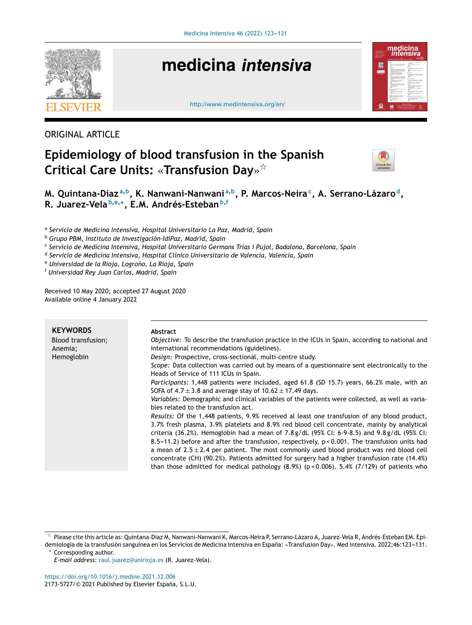

# medicina intensiva





### ORIGINAL ARTICLE

## **Epidemiology of blood transfusion in the Spanish Critical Care Units:** «**Transfusion Day**» -



**M. Quintana-Diaz <sup>a</sup>**,**<sup>b</sup> , K. Nanwani-Nanwani <sup>a</sup>**,**<sup>b</sup> , P. Marcos-Neira<sup>c</sup> , A. Serrano-Lázaro <sup>d</sup> , R. Juarez-Vela <sup>b</sup>**,**e**,<sup>∗</sup> **, E.M. Andrés-Esteban<sup>b</sup>**,**<sup>f</sup>**

a *Servicio de Medicina Intensiva, Hospital Universitario La Paz, Madrid, Spain*

<sup>b</sup> *Grupo PBM, Instituto de Investigación-IdiPaz, Madrid, Spain*

c *Servicio de Medicina Intensiva, Hospital Universitario Germans Trias i Pujol, Badalona, Barcelona, Spain*

d *Servicio de Medicina Intensiva, Hospital Clínico Universitario de Valencia, Valencia, Spain*

<sup>e</sup> *Universidad de la Rioja, Logrono, ˜ La Rioja, Spain*

<sup>f</sup> *Universidad Rey Juan Carlos, Madrid, Spain*

Received 10 May 2020; accepted 27 August 2020 Available online 4 January 2022

| <b>KEYWORDS</b><br>Blood transfusion;<br>Anemia;<br>Hemoglobin | <b>Abstract</b><br>Objective: To describe the transfusion practice in the ICUs in Spain, according to national and<br>international recommendations (guidelines).<br>Design: Prospective, cross-sectional, multi-centre study.<br>Scope: Data collection was carried out by means of a questionnaire sent electronically to the<br>Heads of Service of 111 ICUs in Spain.<br><i>Participants:</i> 1,448 patients were included, aged 61.8 (SD 15.7) years, 66.2% male, with an<br>SOFA of 4.7 $\pm$ 3.8 and average stay of 10.62 $\pm$ 17.49 days.<br>Variables: Demographic and clinical variables of the patients were collected, as well as varia-<br>bles related to the transfusion act.<br>Results: Of the 1,448 patients, 9.9% received al least one transfusion of any blood product,<br>3.7% fresh plasma, 3.9% platelets and 8.9% red blood cell concentrate, mainly by analytical<br>criteria (36.2%). Hemoglobin had a mean of 7.8 g/dL (95% CI: 6-9-8.5) and 9.8 g/dL (95% CI:<br>8.5–11.2) before and after the transfusion, respectively, $p < 0.001$ . The transfusion units had<br>a mean of $2.5 \pm 2.4$ per patient. The most commonly used blood product was red blood cell<br>concentrate (CH) (90.2%). Patients admitted for surgery had a higher transfusion rate (14.4%)<br>than those admitted for medical pathology $(8.9%)$ ( $p=0.006$ ). 5.4% (7/129) of patients who |
|----------------------------------------------------------------|------------------------------------------------------------------------------------------------------------------------------------------------------------------------------------------------------------------------------------------------------------------------------------------------------------------------------------------------------------------------------------------------------------------------------------------------------------------------------------------------------------------------------------------------------------------------------------------------------------------------------------------------------------------------------------------------------------------------------------------------------------------------------------------------------------------------------------------------------------------------------------------------------------------------------------------------------------------------------------------------------------------------------------------------------------------------------------------------------------------------------------------------------------------------------------------------------------------------------------------------------------------------------------------------------------------------------------------------------------------------------------------------------|
|                                                                |                                                                                                                                                                                                                                                                                                                                                                                                                                                                                                                                                                                                                                                                                                                                                                                                                                                                                                                                                                                                                                                                                                                                                                                                                                                                                                                                                                                                      |

Corresponding author.

 $^\star$  Please cite this article as: Quintana-Diaz M, Nanwani-Nanwani K, Marcos-Neira P, Serrano-Lázaro A, Juarez-Vela R, Andrés-Esteban EM. Epidemiología de la transfusión sanguínea en los Servicios de Medicina Intensiva en España: «Transfusion Day». Med Intensiva. 2022;46:123-131.

*E-mail address:* [raul.juarez@unirioja.es](mailto:raul.juarez@unirioja.es) (R. Juarez-Vela).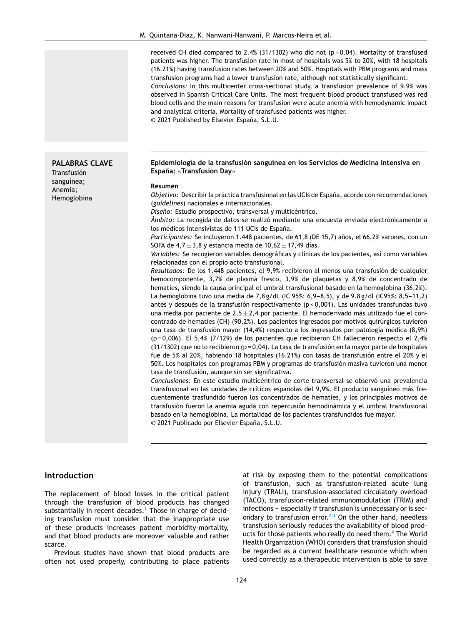received CH died compared to 2.4% (31/1302) who did not ( $p = 0.04$ ). Mortality of transfused patients was higher. The transfusion rate in most of hospitals was 5% to 20%, with 18 hospitals (16.21%) having transfusion rates between 20% and 50%. Hospitals with PBM programs and mass transfusion programs had a lower transfusion rate, although not statistically significant.

*Conclusions:* In this multicenter cross-sectional study, a transfusion prevalence of 9.9% was observed in Spanish Critical Care Units. The most frequent blood product transfused was red blood cells and the main reasons for transfusion were acute anemia with hemodynamic impact and analytical criteria. Mortality of transfused patients was higher.

© 2021 Published by Elsevier España, S.L.U.

#### **Epidemiología de la transfusión sanguínea en los Servicios de Medicina Intensiva en Espana: ˜** «**Transfusion Day**»

#### **Resumen**

*Objetivo:* Describir la práctica transfusional en las UCIs de España, acorde con recomendaciones (*guidelines*) nacionales e internacionales.

*Diseno: ˜* Estudio prospectivo, transversal y multicéntrico.

*Ámbito:* La recogida de datos se realizó mediante una encuesta enviada electrónicamente a los médicos intensivistas de 111 UCIs de España.

Participantes: Se incluyeron 1.448 pacientes, de 61,8 (DE 15,7) años, el 66,2% varones, con un SOFA de  $4.7 \pm 3.8$  y estancia media de  $10.62 \pm 17.49$  días.

*Variables:* Se recogieron variables demográficas y clínicas de los pacientes, así como variables relacionadas con el propio acto transfusional.

*Resultados:* De los 1.448 pacientes, el 9,9% recibieron al menos una transfusión de cualquier hemocomponente, 3,7% de plasma fresco, 3,9% de plaquetas y 8,9% de concentrado de hematíes, siendo la causa principal el umbral transfusional basado en la hemoglobina (36,2%). La hemoglobina tuvo una media de 7,8 g/dL (IC 95%: 6,9-8,5), y de 9.8 g/dl (IC95%: 8,5-11,2) antes y después de la transfusión respectivamente (p < 0,001). Las unidades transfundas tuvo una media por paciente de  $2,5 \pm 2,4$  por paciente. El hemoderivado más utilizado fue el concentrado de hematíes (CH) (90,2%). Los pacientes ingresados por motivos quirúrgicos tuvieron una tasa de transfusión mayor (14,4%) respecto a los ingresados por patología médica (8,9%)  $(p=0,006)$ . El 5,4% (7/129) de los pacientes que recibieron CH fallecieron respecto el 2,4%  $(31/1302)$  que no lo recibieron (p = 0,04). La tasa de transfusión en la mayor parte de hospitales fue de 5% al 20%, habiendo 18 hospitales (16.21%) con tasas de transfusión entre el 20% y el 50%. Los hospitales con programas PBM y programas de transfusión masiva tuvieron una menor tasa de transfusión, aunque sin ser significativa.

*Conclusiones:* En este estudio multicéntrico de corte transversal se observó una prevalencia transfusional en las unidades de críticos españolas del 9,9%. El producto sanguíneo más frecuentemente trasfundido fueron los concentrados de hematíes, y los principales motivos de transfusión fueron la anemia aguda con repercusión hemodinámica y el umbral transfusional basado en la hemoglobina. La mortalidad de los pacientes transfundidos fue mayor. © 2021 Publicado por Elsevier España, S.L.U.

#### **Introduction**

The replacement of blood losses in the critical patient through the transfusion of blood products has changed substantially in recent decades.<sup>[1](#page-8-0)</sup> Those in charge of deciding transfusion must consider that the inappropriate use of these products increases patient morbidity-mortality, and that blood products are moreover valuable and rather scarce.

Previous studies have shown that blood products are often not used properly, contributing to place patients at risk by exposing them to the potential complications of transfusion, such as transfusion-related acute lung injury (TRALI), transfusion-associated circulatory overload (TACO), transfusion-related immunomodulation (TRIM) and infections - especially if transfusion is unnecessary or is sec-ondary to transfusion error.<sup>[2,3](#page-8-0)</sup> On the other hand, needless transfusion seriously reduces the availability of blood products for those patients who really do need them.<sup>4</sup> [T](#page-8-0)he World Health Organization (WHO) considers that transfusion should be regarded as a current healthcare resource which when used correctly as a therapeutic intervention is able to save

## **PALABRAS CLAVE**

Transfusión sanguínea; Anemia; Hemoglobina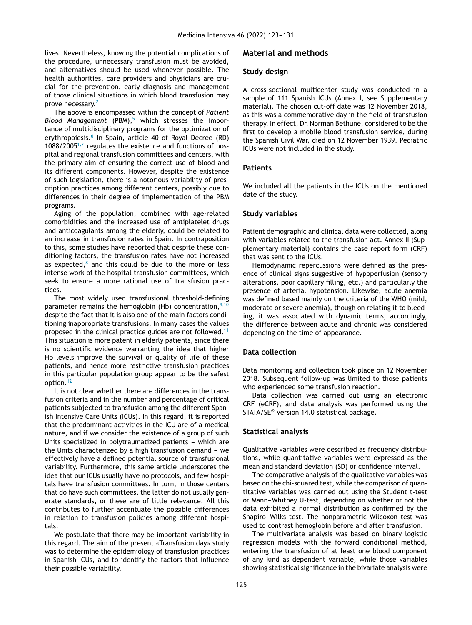lives. Nevertheless, knowing the potential complications of the procedure, unnecessary transfusion must be avoided, and alternatives should be used whenever possible. The health authorities, care providers and physicians are crucial for the prevention, early diagnosis and management of those clinical situations in which blood transfusion may prove necessary.<sup>[2](#page-8-0)</sup>

The above is encompassed within the concept of *Patient Blood Management* (PBM),<sup>[5](#page-8-0)</sup> which stresses the importance of multidisciplinary programs for the optimization of erythropoiesis.<sup>[6](#page-8-0)</sup> In Spain, article 40 of Royal Decree (RD)  $1088/2005^{1,7}$  $1088/2005^{1,7}$  $1088/2005^{1,7}$  regulates the existence and functions of hospital and regional transfusion committees and centers, with the primary aim of ensuring the correct use of blood and its different components. However, despite the existence of such legislation, there is a notorious variability of prescription practices among different centers, possibly due to differences in their degree of implementation of the PBM programs.

Aging of the population, combined with age-related comorbidities and the increased use of antiplatelet drugs and anticoagulants among the elderly, could be related to an increase in transfusion rates in Spain. In contraposition to this, some studies have reported that despite these conditioning factors, the transfusion rates have not increased as expected, $8$  and this could be due to the more or less intense work of the hospital transfusion committees, which seek to ensure a more rational use of transfusion practices.

The most widely used transfusional threshold-defining parameter remains the hemoglobin (Hb) concentration,  $9,10$ despite the fact that it is also one of the main factors conditioning inappropriate transfusions. In many cases the values proposed in the clinical practice guides are not followed.<sup>[11](#page-8-0)</sup> This situation is more patent in elderly patients, since there is no scientific evidence warranting the idea that higher Hb levels improve the survival or quality of life of these patients, and hence more restrictive transfusion practices in this particular population group appear to be the safest option.<sup>[12](#page-8-0)</sup>

It is not clear whether there are differences in the transfusion criteria and in the number and percentage of critical patients subjected to transfusion among the different Spanish Intensive Care Units (ICUs). In this regard, it is reported that the predominant activities in the ICU are of a medical nature, and if we consider the existence of a group of such Units specialized in polytraumatized patients - which are the Units characterized by a high transfusion demand  $-$  we effectively have a defined potential source of transfusional variability. Furthermore, this same article underscores the idea that our ICUs usually have no protocols, and few hospitals have transfusion committees. In turn, in those centers that do have such committees, the latter do not usually generate standards, or these are of little relevance. All this contributes to further accentuate the possible differences in relation to transfusion policies among different hospitals.

We postulate that there may be important variability in this regard. The aim of the present «Transfusion day» study was to determine the epidemiology of transfusion practices in Spanish ICUs, and to identify the factors that influence their possible variability.

#### **Material and methods**

#### **Study design**

A cross-sectional multicenter study was conducted in a sample of 111 Spanish ICUs (Annex I, see Supplementary material). The chosen cut-off date was 12 November 2018, as this was a commemorative day in the field of transfusion therapy. In effect, Dr. Norman Bethune, considered to be the first to develop a mobile blood transfusion service, during the Spanish Civil War, died on 12 November 1939. Pediatric ICUs were not included in the study.

#### **Patients**

We included all the patients in the ICUs on the mentioned date of the study.

#### **Study variables**

Patient demographic and clinical data were collected, along with variables related to the transfusion act. Annex II (Supplementary material) contains the case report form (CRF) that was sent to the ICUs.

Hemodynamic repercussions were defined as the presence of clinical signs suggestive of hypoperfusion (sensory alterations, poor capillary filling, etc.) and particularly the presence of arterial hypotension. Likewise, acute anemia was defined based mainly on the criteria of the WHO (mild, moderate or severe anemia), though on relating it to bleeding, it was associated with dynamic terms; accordingly, the difference between acute and chronic was considered depending on the time of appearance.

#### **Data collection**

Data monitoring and collection took place on 12 November 2018. Subsequent follow-up was limited to those patients who experienced some transfusion reaction.

Data collection was carried out using an electronic CRF (eCRF), and data analysis was performed using the STATA/SE® version 14.0 statistical package.

#### **Statistical analysis**

Qualitative variables were described as frequency distributions, while quantitative variables were expressed as the mean and standard deviation (SD) or confidence interval.

The comparative analysis of the qualitative variables was based on the chi-squared test, while the comparison of quantitative variables was carried out using the Student t-test or Mann-Whitney U-test, depending on whether or not the data exhibited a normal distribution as confirmed by the Shapiro-Wilks test. The nonparametric Wilcoxon test was used to contrast hemoglobin before and after transfusion.

The multivariate analysis was based on binary logistic regression models with the forward conditional method, entering the transfusion of at least one blood component of any kind as dependent variable, while those variables showing statistical significance in the bivariate analysis were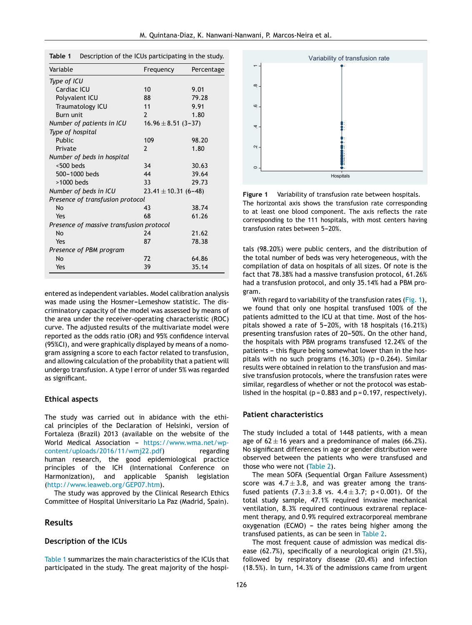|  |  | Table 1 Description of the ICUs participating in the study. |  |
|--|--|-------------------------------------------------------------|--|
|--|--|-------------------------------------------------------------|--|

| Variable                                 | Frequency               | Percentage               |  |  |
|------------------------------------------|-------------------------|--------------------------|--|--|
| Type of ICU                              |                         |                          |  |  |
| Cardiac ICU                              | 10                      | 9.01                     |  |  |
| Polyvalent ICU                           | 88                      | 79.28                    |  |  |
| Traumatology ICU                         | 11                      | 9.91                     |  |  |
| <b>Burn unit</b>                         | $\mathcal{P}$           | 1.80                     |  |  |
| Number of patients in ICU                | $16.96 \pm 8.51$ (3-37) |                          |  |  |
| Type of hospital                         |                         |                          |  |  |
| Public                                   | 109                     | 98.20                    |  |  |
| Private                                  | 2                       | 1.80                     |  |  |
| Number of beds in hospital               |                         |                          |  |  |
| $< 500$ beds                             | 34                      | 30.63                    |  |  |
| 500-1000 beds                            | 44                      | 39.64                    |  |  |
| >1000 beds                               | 33                      | 29.73                    |  |  |
| Number of beds in ICU                    |                         | $23.41 \pm 10.31$ (6-48) |  |  |
| Presence of transfusion protocol         |                         |                          |  |  |
| <b>No</b>                                | 43                      | 38.74                    |  |  |
| Yes                                      | 68                      | 61.26                    |  |  |
| Presence of massive transfusion protocol |                         |                          |  |  |
| <b>No</b>                                | 74                      | 21.62                    |  |  |
| Yes                                      | 87                      | 78.38                    |  |  |
| Presence of PBM program                  |                         |                          |  |  |
| No                                       | 72                      | 64.86                    |  |  |
| Yes                                      | 39                      | 35.14                    |  |  |

entered as independent variables. Model calibration analysis was made using the Hosmer-Lemeshow statistic. The discriminatory capacity of the model was assessed by means of the area under the receiver-operating characteristic (ROC) curve. The adjusted results of the multivariate model were reported as the odds ratio (OR) and 95% confidence interval (95%CI), and were graphically displayed by means of a nomogram assigning a score to each factor related to transfusion, and allowing calculation of the probability that a patient will undergo transfusion. A type I error of under 5% was regarded as significant.

#### **Ethical aspects**

The study was carried out in abidance with the ethical principles of the Declaration of Helsinki, version of Fortaleza (Brazil) 2013 (available on the website of the World Medical Association - [https://www.wma.net/wp](https://www.wma.net/wp-content/uploads/2016/11/wmj22.pdf)content/uploads/2016/11/wmj22.pdf) regarding human research, the good epidemiological practice principles of the ICH (International Conference on Harmonization), and applicable Spanish legislation ([http://www.ieaweb.org/GEP07.htm\)](http://www.ieaweb.org/GEP07.htm).

The study was approved by the Clinical Research Ethics Committee of Hospital Universitario La Paz (Madrid, Spain).

#### **Results**

#### **Description of the ICUs**

Table 1 summarizes the main characteristics of the ICUs that participated in the study. The great majority of the hospi-



**Figure 1** Variability of transfusion rate between hospitals. The horizontal axis shows the transfusion rate corresponding to at least one blood component. The axis reflects the rate corresponding to the 111 hospitals, with most centers having transfusion rates between 5-20%.

tals (98.20%) were public centers, and the distribution of the total number of beds was very heterogeneous, with the compilation of data on hospitals of all sizes. Of note is the fact that 78.38% had a massive transfusion protocol, 61.26% had a transfusion protocol, and only 35.14% had a PBM program.

With regard to variability of the transfusion rates (Fig. 1), we found that only one hospital transfused 100% of the patients admitted to the ICU at that time. Most of the hospitals showed a rate of  $5-20%$ , with 18 hospitals (16.21%) presenting transfusion rates of 20-50%. On the other hand, the hospitals with PBM programs transfused 12.24% of the patients - this figure being somewhat lower than in the hospitals with no such programs  $(16.30%)$  (p=0.264). Similar results were obtained in relation to the transfusion and massive transfusion protocols, where the transfusion rates were similar, regardless of whether or not the protocol was established in the hospital ( $p = 0.883$  and  $p = 0.197$ , respectively).

#### **Patient characteristics**

The study included a total of 1448 patients, with a mean age of  $62 \pm 16$  years and a predominance of males (66.2%). No significant differences in age or gender distribution were observed between the patients who were transfused and those who were not [\(Table](#page-4-0) 2).

The mean SOFA (Sequential Organ Failure Assessment) score was  $4.7 \pm 3.8$ , and was greater among the transfused patients  $(7.3 \pm 3.8 \text{ vs. } 4.4 \pm 3.7; \text{ p} < 0.001)$ . Of the total study sample, 47.1% required invasive mechanical ventilation, 8.3% required continuous extrarenal replacement therapy, and 0.9% required extracorporeal membrane  $oxygenation (ECMO) - the rates being higher among the$ transfused patients, as can be seen in [Table](#page-4-0) 2.

The most frequent cause of admission was medical disease (62.7%), specifically of a neurological origin (21.5%), followed by respiratory disease (20.4%) and infection (18.5%). In turn, 14.3% of the admissions came from urgent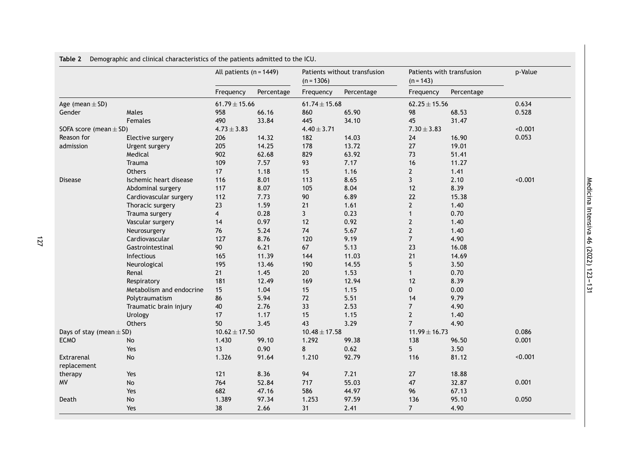|                              |                              | All patients $(n = 1449)$ |            | Patients without transfusion<br>$(n = 1306)$ |            | Patients with transfusion<br>$(n = 143)$ |            | p-Value |
|------------------------------|------------------------------|---------------------------|------------|----------------------------------------------|------------|------------------------------------------|------------|---------|
|                              |                              | Frequency                 | Percentage | Frequency                                    | Percentage | Frequency                                | Percentage |         |
| Age (mean $\pm$ SD)          |                              | $61.79 \pm 15.66$         |            | $61.74 \pm 15.68$                            |            | $62.25 \pm 15.56$                        |            | 0.634   |
| Gender                       | Males                        | 958                       | 66.16      | 860                                          | 65.90      | 98                                       | 68.53      | 0.528   |
|                              | Females                      | 490                       | 33.84      | 445                                          | 34.10      | 45                                       | 31.47      |         |
| SOFA score (mean $\pm$ SD)   |                              | $4.73 \pm 3.83$           |            | $4.40 \pm 3.71$                              |            | $7.30 \pm 3.83$                          |            | < 0.001 |
| Reason for                   | Elective surgery             | 206                       | 14.32      | 182                                          | 14.03      | 24                                       | 16.90      | 0.053   |
| admission                    | Urgent surgery               | 205                       | 14.25      | 178                                          | 13.72      | $27\,$                                   | 19.01      |         |
|                              | Medical                      | 902                       | 62.68      | 829                                          | 63.92      | 73                                       | 51.41      |         |
|                              | Trauma                       | 109                       | 7.57       | 93                                           | 7.17       | 16                                       | 11.27      |         |
|                              | Others                       | 17                        | 1.18       | 15                                           | 1.16       | $\mathbf{2}$                             | 1.41       |         |
| <b>Disease</b>               | Ischemic heart disease       | 116                       | 8.01       | 113                                          | 8.65       | $\overline{3}$                           | 2.10       | < 0.001 |
|                              | Abdominal surgery            | 117                       | 8.07       | 105                                          | 8.04       | 12                                       | 8.39       |         |
|                              | Cardiovascular surgery       | 112                       | 7.73       | 90                                           | 6.89       | 22                                       | 15.38      |         |
|                              | Thoracic surgery             | 23                        | 1.59       | 21                                           | 1.61       | $\mathbf{2}$                             | 1.40       |         |
|                              | Trauma surgery               | $\overline{4}$            | 0.28       | $\mathbf{3}$                                 | 0.23       | $\mathbf{1}$                             | 0.70       |         |
|                              | Vascular surgery             | 14                        | 0.97       | 12                                           | 0.92       | $\overline{2}$                           | 1.40       |         |
|                              | Neurosurgery                 | 76                        | 5.24       | 74                                           | 5.67       | $\mathbf{2}$                             | 1.40       |         |
|                              | Cardiovascular               | 127                       | 8.76       | 120                                          | 9.19       | $\overline{7}$                           | 4.90       |         |
|                              | Gastrointestinal             | $90\,$                    | 6.21       | 67                                           | 5.13       | 23                                       | 16.08      |         |
|                              | Infectious                   | 165                       | 11.39      | 144                                          | 11.03      | 21                                       | 14.69      |         |
|                              | Neurological                 | 195                       | 13.46      | 190                                          | 14.55      | 5                                        | 3.50       |         |
|                              | Renal                        | 21                        | 1.45       | 20                                           | 1.53       | $\mathbf{1}$                             | 0.70       |         |
|                              | Respiratory                  | 181                       | 12.49      | 169                                          | 12.94      | 12                                       | 8.39       |         |
|                              | Metabolism and endocrine     | 15                        | 1.04       | 15                                           | 1.15       | 0                                        | 0.00       |         |
|                              | Polytraumatism               | 86                        | 5.94       | 72                                           | 5.51       | 14                                       | 9.79       |         |
|                              | Traumatic brain injury       | 40                        | 2.76       | 33                                           | 2.53       | $\overline{7}$                           | 4.90       |         |
|                              | Urology                      | 17                        | 1.17       | 15                                           | 1.15       | $\overline{2}$                           | 1.40       |         |
|                              | Others                       | 50                        | 3.45       | 43                                           | 3.29       | $\overline{7}$                           | 4.90       |         |
| Days of stay (mean $\pm$ SD) |                              | $10.62 \pm 17.50$         |            | $10.48 \pm 17.58$                            |            | $11.99 \pm 16.73$                        |            | 0.086   |
| <b>ECMO</b>                  | No                           | 1.430                     | 99.10      | 1.292                                        | 99.38      | 138                                      | 96.50      | 0.001   |
|                              | Yes                          | 13                        | 0.90       | 8                                            | 0.62       | 5                                        | 3.50       |         |
| Extrarenal<br>replacement    | No                           | 1.326                     | 91.64      | 1.210                                        | 92.79      | 116                                      | 81.12      | < 0.001 |
| therapy                      | Yes                          | 121                       | 8.36       | 94                                           | 7.21       | 27                                       | 18.88      |         |
| MV                           | No                           | 764                       | 52.84      | 717                                          | 55.03      | 47                                       | 32.87      | 0.001   |
|                              | Yes                          | 682                       | 47.16      | 586                                          | 44.97      | 96                                       | 67.13      |         |
| Death                        | $\operatorname{\mathsf{No}}$ | 1.389                     | 97.34      | 1.253                                        | 97.59      | 136                                      | 95.10      | 0.050   |
|                              | Yes                          | 38                        | 2.66       | 31                                           | 2.41       | $\overline{7}$                           | 4.90       |         |

<span id="page-4-0"></span>**Table 2** Demographic and clinical characteristics of the patients admitted to the ICU.

Medicina Intensiva 46 (2022) 123---131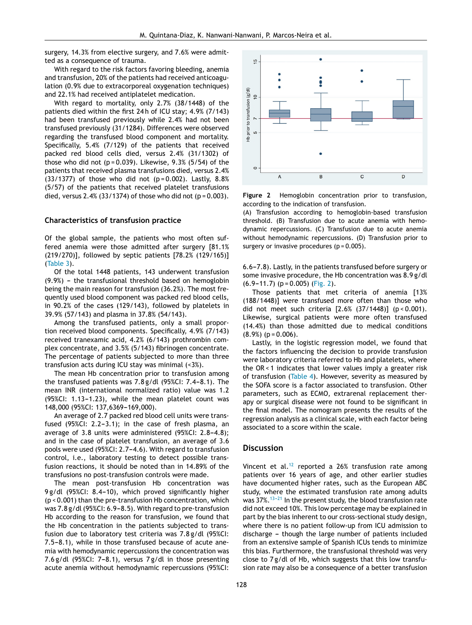surgery, 14.3% from elective surgery, and 7.6% were admitted as a consequence of trauma.

With regard to the risk factors favoring bleeding, anemia and transfusion, 20% of the patients had received anticoagulation (0.9% due to extracorporeal oxygenation techniques) and 22.1% had received antiplatelet medication.

With regard to mortality, only 2.7% (38/1448) of the patients died within the first 24 h of ICU stay; 4.9% (7/143) had been transfused previously while 2.4% had not been transfused previously (31/1284). Differences were observed regarding the transfused blood component and mortality. Specifically, 5.4% (7/129) of the patients that received packed red blood cells died, versus 2.4% (31/1302) of those who did not ( $p = 0.039$ ). Likewise, 9.3% (5/54) of the patients that received plasma transfusions died, versus 2.4% (33/1377) of those who did not  $(p = 0.002)$ . Lastly,  $8.8\%$ (5/57) of the patients that received platelet transfusions died, versus  $2.4\%$  (33/1374) of those who did not (p = 0.003).

#### **Characteristics of transfusion practice**

Of the global sample, the patients who most often suffered anemia were those admitted after surgery [81.1% (219/270)], followed by septic patients [78.2% (129/165)] ([Table](#page-6-0) 3).

Of the total 1448 patients, 143 underwent transfusion  $(9.9%)$  – the transfusional threshold based on hemoglobin being the main reason for transfusion (36.2%). The most frequently used blood component was packed red blood cells, in 90.2% of the cases (129/143), followed by platelets in 39.9% (57/143) and plasma in 37.8% (54/143).

Among the transfused patients, only a small proportion received blood components. Specifically, 4.9% (7/143) received tranexamic acid, 4.2% (6/143) prothrombin complex concentrate, and 3.5% (5/143) fibrinogen concentrate. The percentage of patients subjected to more than three transfusion acts during ICU stay was minimal (<3%).

The mean Hb concentration prior to transfusion among the transfused patients was  $7.8$  g/dl (95%CI:  $7.4-8.1$ ). The mean INR (international normalized ratio) value was 1.2  $(95\%$ CI: 1.13-1.23), while the mean platelet count was 148,000 (95%CI: 137,6369-169,000).

An average of 2.7 packed red blood cell units were transfused  $(95\%$ CI: 2.2-3.1); in the case of fresh plasma, an average of 3.8 units were administered  $(95\% CI: 2.8-4.8);$ and in the case of platelet transfusion, an average of 3.6 pools were used (95%CI: 2.7-4.6). With regard to transfusion control, i.e., laboratory testing to detect possible transfusion reactions, it should be noted than in 14.89% of the transfusions no post-transfusion controls were made.

The mean post-transfusion Hb concentration was 9 g/dl (95%CI: 8.4-10), which proved significantly higher (p < 0.001) than the pre-transfusion Hb concentration, which was 7.8 g/dl (95%CI: 6.9-8.5). With regard to pre-transfusion Hb according to the reason for transfusion, we found that the Hb concentration in the patients subjected to transfusion due to laboratory test criteria was 7.8 g/dl (95%CI: 7.5-8.1), while in those transfused because of acute anemia with hemodynamic repercussions the concentration was 7.6 g/dl  $(95\%$ CI: 7-8.1), versus 7 g/dl in those presenting acute anemia without hemodynamic repercussions (95%CI:



**Figure 2** Hemoglobin concentration prior to transfusion, according to the indication of transfusion.

(A) Transfusion according to hemoglobin-based transfusion threshold. (B) Transfusion due to acute anemia with hemodynamic repercussions. (C) Transfusion due to acute anemia without hemodynamic repercussions. (D) Transfusion prior to surgery or invasive procedures ( $p = 0.005$ ).

6.6-7.8). Lastly, in the patients transfused before surgery or some invasive procedure, the Hb concentration was 8.9 g/dl  $(6.9-11.7)$  (p = 0.005) (Fig. 2).

Those patients that met criteria of anemia [13% (188/1448)] were transfused more often than those who did not meet such criteria [2.6% (37/1448)] (p < 0.001). Likewise, surgical patients were more often transfused (14.4%) than those admitted due to medical conditions  $(8.9\%)$  (p = 0.006).

Lastly, in the logistic regression model, we found that the factors influencing the decision to provide transfusion were laboratory criteria referred to Hb and platelets, where the OR < 1 indicates that lower values imply a greater risk of transfusion ([Table](#page-6-0) 4). However, severity as measured by the SOFA score is a factor associated to transfusion. Other parameters, such as ECMO, extrarenal replacement therapy or surgical disease were not found to be significant in the final model. The nomogram presents the results of the regression analysis as a clinical scale, with each factor being associated to a score within the scale.

#### **Discussion**

Vincent et al.<sup>[12](#page-8-0)</sup> reported a 26% transfusion rate among patients over 16 years of age, and other earlier studies have documented higher rates, such as the European ABC study, where the estimated transfusion rate among adults was  $37\%$ .<sup>13-21</sup> In the present study, the blood transfusion rate did not exceed 10%. This low percentage may be explained in part by the bias inherent to our cross-sectional study design, where there is no patient follow-up from ICU admission to discharge - though the large number of patients included from an extensive sample of Spanish ICUs tends to minimize this bias. Furthermore, the transfusional threshold was very close to 7 g/dl of Hb, which suggests that this low transfusion rate may also be a consequence of a better transfusion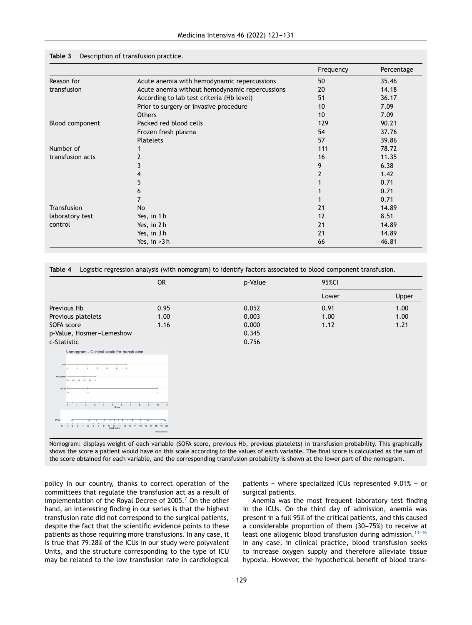|                        |                                                | Frequency | Percentage |
|------------------------|------------------------------------------------|-----------|------------|
| Reason for             | Acute anemia with hemodynamic repercussions    | 50        | 35.46      |
| transfusion            | Acute anemia without hemodynamic repercussions | 20        | 14.18      |
|                        | According to lab test criteria (Hb level)      | 51        | 36.17      |
|                        | Prior to surgery or invasive procedure         | 10        | 7.09       |
|                        | <b>Others</b>                                  | 10        | 7.09       |
| <b>Blood component</b> | Packed red blood cells                         | 129       | 90.21      |
|                        | Frozen fresh plasma                            | 54        | 37.76      |
|                        | <b>Platelets</b>                               | 57        | 39.86      |
| Number of              |                                                | 111       | 78.72      |
| transfusion acts       |                                                | 16        | 11.35      |
|                        |                                                | 9         | 6.38       |
|                        | 4                                              |           | 1.42       |
|                        | 5                                              |           | 0.71       |
|                        | 6                                              |           | 0.71       |
|                        | 7                                              |           | 0.71       |
| <b>Transfusion</b>     | No                                             | 21        | 14.89      |
| laboratory test        | Yes, in 1 h                                    | 12        | 8.51       |
| control                | Yes, in 2h                                     | 21        | 14.89      |
|                        | Yes, in 3h                                     | 21        | 14.89      |
|                        | Yes, in $>3$ h                                 | 66        | 46.81      |

#### <span id="page-6-0"></span>**Table 3** Description of transfusion practice.

**Table 4** Logistic regression analysis (with nomogram) to identify factors associated to blood component transfusion.

|                                                                                                                                                                                                                                                                                    | <b>OR</b>                                                                | p-Value | 95%CI |       |  |
|------------------------------------------------------------------------------------------------------------------------------------------------------------------------------------------------------------------------------------------------------------------------------------|--------------------------------------------------------------------------|---------|-------|-------|--|
|                                                                                                                                                                                                                                                                                    |                                                                          |         | Lower | Upper |  |
| Previous Hb                                                                                                                                                                                                                                                                        | 0.95                                                                     | 0.052   | 0.91  | 1.00  |  |
| Previous platelets                                                                                                                                                                                                                                                                 | 1.00                                                                     | 0.003   | 1.00  | 1.00  |  |
| SOFA score                                                                                                                                                                                                                                                                         | 1.16                                                                     | 0.000   | 1.12  | 1.21  |  |
| p-Value, Hosmer-Lemeshow                                                                                                                                                                                                                                                           |                                                                          | 0.345   |       |       |  |
| c-Statistic                                                                                                                                                                                                                                                                        |                                                                          | 0.756   |       |       |  |
| Nomogram - Clinical scale for transfusion<br><b>BOD</b><br>$^{12}$<br>16<br>Prior platinist<br>Prior<br>7.14<br>14<br>$\overline{0}$<br>$5\quad 6\quad 7$<br>$\overline{2}$<br>$\overline{\phantom{a}}$<br>$-4$<br>Prob<br>0 1 2 3 4 5 6 7 8 9 10 11 12 13 14 15 16<br>Total score | $-47$<br>$10 \t 11$<br>9<br>8<br>18<br>19<br>20<br>17<br>TRANSFUEICH GAY |         |       |       |  |

Nomogram: displays weight of each variable (SOFA score, previous Hb, previous platelets) in transfusion probability. This graphically shows the score a patient would have on this scale according to the values of each variable. The final score is calculated as the sum of the score obtained for each variable, and the corresponding transfusion probability is shown at the lower part of the nomogram.

policy in our country, thanks to correct operation of the committees that regulate the transfusion act as a result of implementation of the Royal Decree of 2005.<sup>7</sup> [O](#page-8-0)n the other hand, an interesting finding in our series is that the highest transfusion rate did not correspond to the surgical patients, despite the fact that the scientific evidence points to these patients as those requiring more transfusions. In any case, it is true that 79.28% of the ICUs in our study were polyvalent Units, and the structure corresponding to the type of ICU may be related to the low transfusion rate in cardiological patients - where specialized ICUs represented 9.01% - or surgical patients.

Anemia was the most frequent laboratory test finding in the ICUs. On the third day of admission, anemia was present in a full 95% of the critical patients, and this caused a considerable proportion of them  $(30-75%)$  to receive at least one allogenic blood transfusion during admission.<sup>13-16</sup> In any case, in clinical practice, blood transfusion seeks to increase oxygen supply and therefore alleviate tissue hypoxia. However, the hypothetical benefit of blood trans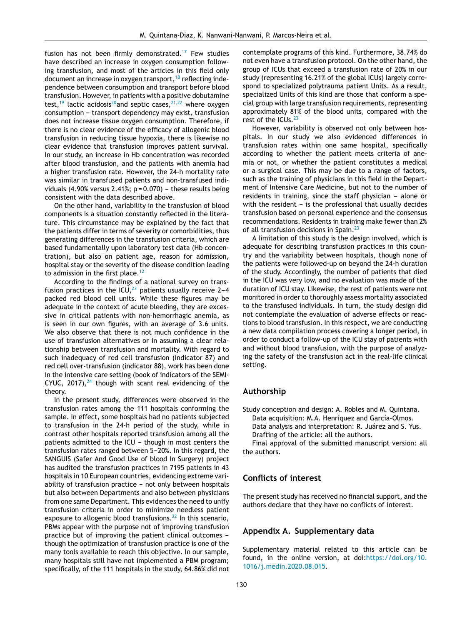fusion has not been firmly demonstrated.<sup>[17](#page-8-0)</sup> Few studies have described an increase in oxygen consumption following transfusion, and most of the articles in this field only document an increase in oxygen transport,  $18$  reflecting independence between consumption and transport before blood transfusion. However, in patients with a positive dobutamine test,<sup>[19](#page-8-0)</sup> lactic acidosis<sup>20</sup> [an](#page-8-0)d septic cases,  $2^{1,22}$  where oxygen consumption - transport dependency may exist, transfusion does not increase tissue oxygen consumption. Therefore, if there is no clear evidence of the efficacy of allogenic blood transfusion in reducing tissue hypoxia, there is likewise no clear evidence that transfusion improves patient survival. In our study, an increase in Hb concentration was recorded after blood transfusion, and the patients with anemia had a higher transfusion rate. However, the 24-h mortality rate was similar in transfused patients and non-transfused individuals (4.90% versus 2.41%;  $p = 0.070$ ) - these results being consistent with the data described above.

On the other hand, variability in the transfusion of blood components is a situation constantly reflected in the literature. This circumstance may be explained by the fact that the patients differ in terms of severity or comorbidities, thus generating differences in the transfusion criteria, which are based fundamentally upon laboratory test data (Hb concentration), but also on patient age, reason for admission, hospital stay or the severity of the disease condition leading to admission in the first place.<sup>[12](#page-8-0)</sup>

According to the findings of a national survey on transfusion practices in the ICU, $^{23}$  $^{23}$  $^{23}$  patients usually receive 2-4 packed red blood cell units. While these figures may be adequate in the context of acute bleeding, they are excessive in critical patients with non-hemorrhagic anemia, as is seen in our own figures, with an average of 3.6 units. We also observe that there is not much confidence in the use of transfusion alternatives or in assuming a clear relationship between transfusion and mortality. With regard to such inadequacy of red cell transfusion (indicator 87) and red cell over-transfusion (indicator 88), work has been done in the intensive care setting (book of indicators of the SEMI-CYUC, 2017), $24$  though with scant real evidencing of the theory.

In the present study, differences were observed in the transfusion rates among the 111 hospitals conforming the sample. In effect, some hospitals had no patients subjected to transfusion in the 24-h period of the study, while in contrast other hospitals reported transfusion among all the patients admitted to the ICU  $-$  though in most centers the transfusion rates ranged between 5-20%. In this regard, the SANGUIS (Safer And Good Use of blood In Surgery) project has audited the transfusion practices in 7195 patients in 43 hospitals in 10 European countries, evidencing extreme variability of transfusion practice  $-$  not only between hospitals but also between Departments and also between physicians from one same Department. This evidences the need to unify transfusion criteria in order to minimize needless patient exposure to allogenic blood transfusions. $^{22}$  $^{22}$  $^{22}$  In this scenario, PBMs appear with the purpose not of improving transfusion practice but of improving the patient clinical outcomes though the optimization of transfusion practice is one of the many tools available to reach this objective. In our sample, many hospitals still have not implemented a PBM program; specifically, of the 111 hospitals in the study, 64.86% did not

contemplate programs of this kind. Furthermore, 38.74% do not even have a transfusion protocol. On the other hand, the group of ICUs that exceed a transfusion rate of 20% in our study (representing 16.21% of the global ICUs) largely correspond to specialized polytrauma patient Units. As a result, specialized Units of this kind are those that conform a special group with large transfusion requirements, representing approximately 81% of the blood units, compared with the rest of the ICUs.<sup>[23](#page-8-0)</sup>

However, variability is observed not only between hospitals. In our study we also evidenced differences in transfusion rates within one same hospital, specifically according to whether the patient meets criteria of anemia or not, or whether the patient constitutes a medical or a surgical case. This may be due to a range of factors, such as the training of physicians in this field in the Department of Intensive Care Medicine, but not to the number of residents in training, since the staff physician - alone or with the resident  $-$  is the professional that usually decides transfusion based on personal experience and the consensus recommendations. Residents in training make fewer than 2% of all transfusion decisions in Spain.<sup>[23](#page-8-0)</sup>

A limitation of this study is the design involved, which is adequate for describing transfusion practices in this country and the variability between hospitals, though none of the patients were followed-up on beyond the 24-h duration of the study. Accordingly, the number of patients that died in the ICU was very low, and no evaluation was made of the duration of ICU stay. Likewise, the rest of patients were not monitored in order to thoroughly assess mortality associated to the transfused individuals. In turn, the study design did not contemplate the evaluation of adverse effects or reactions to blood transfusion. In this respect, we are conducting a new data compilation process covering a longer period, in order to conduct a follow-up of the ICU stay of patients with and without blood transfusion, with the purpose of analyzing the safety of the transfusion act in the real-life clinical setting.

#### **Authorship**

Study conception and design: A. Robles and M. Quintana. Data acquisition: M.A. Henríquez and García-Olmos. Data analysis and interpretation: R. Juárez and S. Yus. Drafting of the article: all the authors.

Final approval of the submitted manuscript version: all the authors.

#### **Conflicts of interest**

The present study has received no financial support, and the authors declare that they have no conflicts of interest.

#### **Appendix A. Supplementary data**

Supplementary material related to this article can be found, in the online version, at doi:[https://doi.org/10.](https://doi.org/10.1016/j.medin.2020.08.015) [1016/j.medin.2020.08.015.](https://doi.org/10.1016/j.medin.2020.08.015)